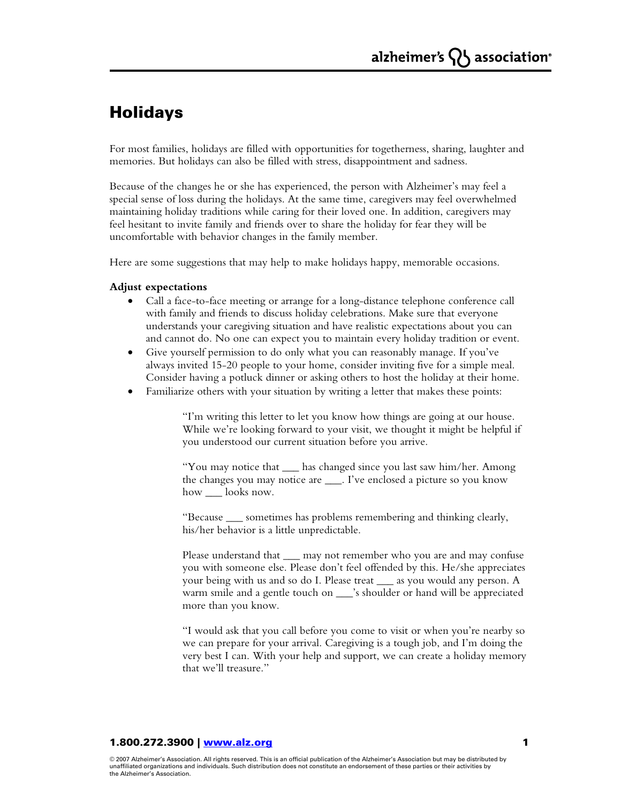# Holidays

For most families, holidays are filled with opportunities for togetherness, sharing, laughter and memories. But holidays can also be filled with stress, disappointment and sadness.

Because of the changes he or she has experienced, the person with Alzheimer's may feel a special sense of loss during the holidays. At the same time, caregivers may feel overwhelmed maintaining holiday traditions while caring for their loved one. In addition, caregivers may feel hesitant to invite family and friends over to share the holiday for fear they will be uncomfortable with behavior changes in the family member.

Here are some suggestions that may help to make holidays happy, memorable occasions.

## **Adjust expectations**

- Call a face-to-face meeting or arrange for a long-distance telephone conference call with family and friends to discuss holiday celebrations. Make sure that everyone understands your caregiving situation and have realistic expectations about you can and cannot do. No one can expect you to maintain every holiday tradition or event.
- Give yourself permission to do only what you can reasonably manage. If you've always invited 15-20 people to your home, consider inviting five for a simple meal. Consider having a potluck dinner or asking others to host the holiday at their home.
- Familiarize others with your situation by writing a letter that makes these points:

 "I'm writing this letter to let you know how things are going at our house. While we're looking forward to your visit, we thought it might be helpful if you understood our current situation before you arrive.

 "You may notice that \_\_\_ has changed since you last saw him/her. Among the changes you may notice are \_\_\_. I've enclosed a picture so you know how \_\_\_ looks now.

 "Because \_\_\_ sometimes has problems remembering and thinking clearly, his/her behavior is a little unpredictable.

Please understand that \_\_\_ may not remember who you are and may confuse you with someone else. Please don't feel offended by this. He/she appreciates your being with us and so do I. Please treat \_\_\_ as you would any person. A warm smile and a gentle touch on \_\_\_\_'s shoulder or hand will be appreciated more than you know.

 "I would ask that you call before you come to visit or when you're nearby so we can prepare for your arrival. Caregiving is a tough job, and I'm doing the very best I can. With your help and support, we can create a holiday memory that we'll treasure."

## 1.800.272.3900 | www.alz.org